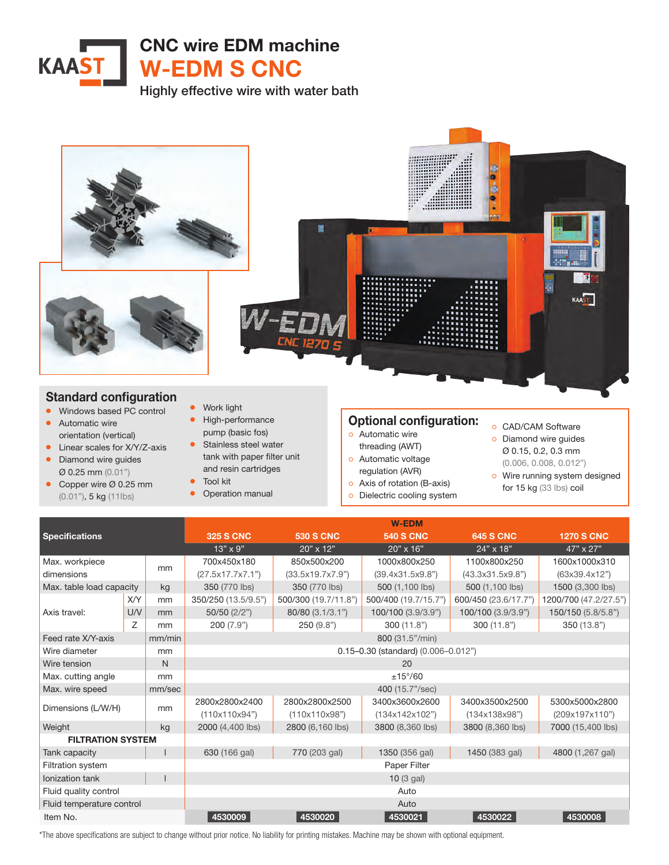

Highly effective wire with water bath



\*The above specifications are subject to change without prior notice. No liability for printing mistakes. Machine may be shown with optional equipment.